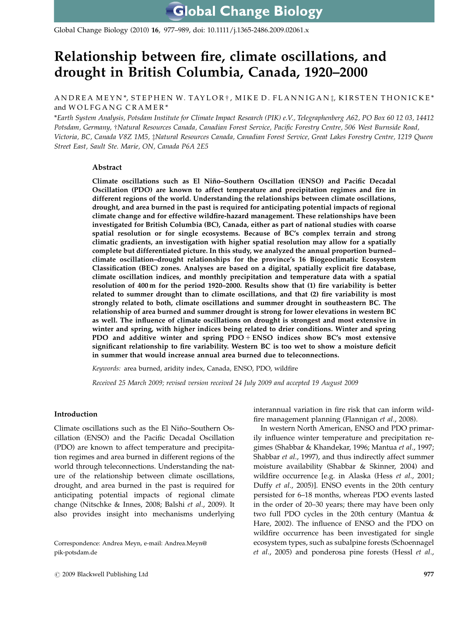Global Change Biology (2010) 16, 977–989, doi: 10.1111/j.1365-2486.2009.02061.x

# Relationship between fire, climate oscillations, and drought in British Columbia, Canada, 1920–2000

# ANDREA MEYN\*, STEPHEN W. TAYLOR†, MIKE D. FLANNIGAN $\ddagger$ , KIRSTEN THONICKE\* and WOLFGANG CRAMER\*

\*Earth System Analysis, Potsdam Institute for Climate Impact Research (PIK) e.V., Telegraphenberg A62, PO Box 60 12 03, 14412 Potsdam, Germany, †Natural Resources Canada, Canadian Forest Service, Pacific Forestry Centre, 506 West Burnside Road, Victoria, BC, Canada V8Z 1M5, tNatural Resources Canada, Canadian Forest Service, Great Lakes Forestry Centre, 1219 Queen Street East, Sault Ste. Marie, ON, Canada P6A 2E5

# Abstract

Climate oscillations such as El Nin˜ o–Southern Oscillation (ENSO) and Pacific Decadal Oscillation (PDO) are known to affect temperature and precipitation regimes and fire in different regions of the world. Understanding the relationships between climate oscillations, drought, and area burned in the past is required for anticipating potential impacts of regional climate change and for effective wildfire-hazard management. These relationships have been investigated for British Columbia (BC), Canada, either as part of national studies with coarse spatial resolution or for single ecosystems. Because of BC's complex terrain and strong climatic gradients, an investigation with higher spatial resolution may allow for a spatially complete but differentiated picture. In this study, we analyzed the annual proportion burned– climate oscillation–drought relationships for the province's 16 Biogeoclimatic Ecosystem Classification (BEC) zones. Analyses are based on a digital, spatially explicit fire database, climate oscillation indices, and monthly precipitation and temperature data with a spatial resolution of 400 m for the period 1920–2000. Results show that (1) fire variability is better related to summer drought than to climate oscillations, and that (2) fire variability is most strongly related to both, climate oscillations and summer drought in southeastern BC. The relationship of area burned and summer drought is strong for lower elevations in western BC as well. The influence of climate oscillations on drought is strongest and most extensive in winter and spring, with higher indices being related to drier conditions. Winter and spring PDO and additive winter and spring  $PDO + ENSO$  indices show  $BC's$  most extensive significant relationship to fire variability. Western BC is too wet to show a moisture deficit in summer that would increase annual area burned due to teleconnections.

Keywords: area burned, aridity index, Canada, ENSO, PDO, wildfire

Received 25 March 2009; revised version received 24 July 2009 and accepted 19 August 2009

### Introduction

Climate oscillations such as the El Niño–Southern Oscillation (ENSO) and the Pacific Decadal Oscillation (PDO) are known to affect temperature and precipitation regimes and area burned in different regions of the world through teleconnections. Understanding the nature of the relationship between climate oscillations, drought, and area burned in the past is required for anticipating potential impacts of regional climate change (Nitschke & Innes, 2008; Balshi et al., 2009). It also provides insight into mechanisms underlying

Correspondence: Andrea Meyn, e-mail: [Andrea.Meyn@](mailto:Andrea.Meyn@pik-potsdam.de) [pik-potsdam.de](mailto:Andrea.Meyn@pik-potsdam.de)

interannual variation in fire risk that can inform wildfire management planning (Flannigan et al., 2008).

In western North American, ENSO and PDO primarily influence winter temperature and precipitation regimes (Shabbar & Khandekar, 1996; Mantua et al., 1997; Shabbar et al., 1997), and thus indirectly affect summer moisture availability (Shabbar & Skinner, 2004) and wildfire occurrence [e.g. in Alaska (Hess et al., 2001; Duffy et al., 2005)]. ENSO events in the 20th century persisted for 6–18 months, whereas PDO events lasted in the order of 20–30 years; there may have been only two full PDO cycles in the 20th century (Mantua & Hare, 2002). The influence of ENSO and the PDO on wildfire occurrence has been investigated for single ecosystem types, such as subalpine forests (Schoennagel et al., 2005) and ponderosa pine forests (Hessl et al.,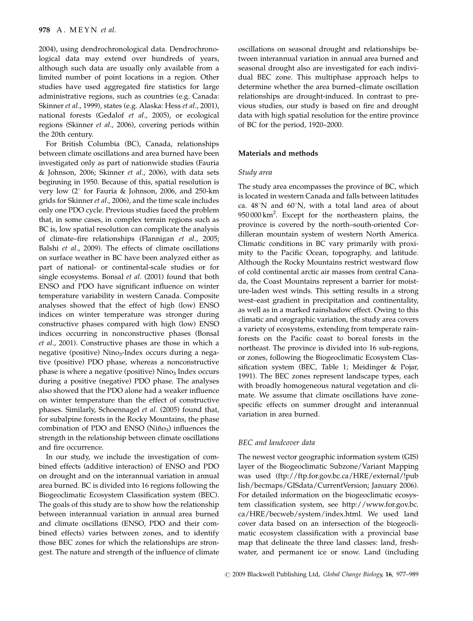2004), using dendrochronological data. Dendrochronological data may extend over hundreds of years, although such data are usually only available from a limited number of point locations in a region. Other studies have used aggregated fire statistics for large administrative regions, such as countries (e.g. Canada: Skinner et al., 1999), states (e.g. Alaska: Hess et al., 2001), national forests (Gedalof et al., 2005), or ecological regions (Skinner et al., 2006), covering periods within the 20th century.

For British Columbia (BC), Canada, relationships between climate oscillations and area burned have been investigated only as part of nationwide studies (Fauria & Johnson, 2006; Skinner et al., 2006), with data sets beginning in 1950. Because of this, spatial resolution is very low  $(2^{\circ}$  for Fauria & Johnson, 2006, and 250-km grids for Skinner et al., 2006), and the time scale includes only one PDO cycle. Previous studies faced the problem that, in some cases, in complex terrain regions such as BC is, low spatial resolution can complicate the analysis of climate–fire relationships (Flannigan et al., 2005; Balshi et al., 2009). The effects of climate oscillations on surface weather in BC have been analyzed either as part of national- or continental-scale studies or for single ecosystems. Bonsal et al. (2001) found that both ENSO and PDO have significant influence on winter temperature variability in western Canada. Composite analyses showed that the effect of high (low) ENSO indices on winter temperature was stronger during constructive phases compared with high (low) ENSO indices occurring in nonconstructive phases (Bonsal et al., 2001). Constructive phases are those in which a negative (positive) Nino<sub>3</sub>-Index occurs during a negative (positive) PDO phase, whereas a nonconstructive phase is where a negative (positive)  $Nino<sub>3</sub>$  Index occurs during a positive (negative) PDO phase. The analyses also showed that the PDO alone had a weaker influence on winter temperature than the effect of constructive phases. Similarly, Schoennagel et al. (2005) found that, for subalpine forests in the Rocky Mountains, the phase combination of PDO and ENSO ( $Ni\tilde{no}_3$ ) influences the strength in the relationship between climate oscillations and fire occurrence.

In our study, we include the investigation of combined effects (additive interaction) of ENSO and PDO on drought and on the interannual variation in annual area burned. BC is divided into 16 regions following the Biogeoclimatic Ecosystem Classification system (BEC). The goals of this study are to show how the relationship between interannual variation in annual area burned and climate oscillations (ENSO, PDO and their combined effects) varies between zones, and to identify those BEC zones for which the relationships are strongest. The nature and strength of the influence of climate oscillations on seasonal drought and relationships between interannual variation in annual area burned and seasonal drought also are investigated for each individual BEC zone. This multiphase approach helps to determine whether the area burned–climate oscillation relationships are drought-induced. In contrast to previous studies, our study is based on fire and drought data with high spatial resolution for the entire province of BC for the period, 1920–2000.

# Materials and methods

#### Study area

The study area encompasses the province of BC, which is located in western Canada and falls between latitudes ca.  $48^{\circ}$ N and  $60^{\circ}$ N, with a total land area of about 950 000 km<sup>2</sup>. Except for the northeastern plains, the province is covered by the north–south-oriented Cordilleran mountain system of western North America. Climatic conditions in BC vary primarily with proximity to the Pacific Ocean, topography, and latitude. Although the Rocky Mountains restrict westward flow of cold continental arctic air masses from central Canada, the Coast Mountains represent a barrier for moisture-laden west winds. This setting results in a strong west–east gradient in precipitation and continentality, as well as in a marked rainshadow effect. Owing to this climatic and orographic variation, the study area covers a variety of ecosystems, extending from temperate rainforests on the Pacific coast to boreal forests in the northeast. The province is divided into 16 sub-regions, or zones, following the Biogeoclimatic Ecosystem Classification system (BEC, Table 1; Meidinger & Pojar, 1991). The BEC zones represent landscape types, each with broadly homogeneous natural vegetation and climate. We assume that climate oscillations have zonespecific effects on summer drought and interannual variation in area burned.

### BEC and landcover data

The newest vector geographic information system (GIS) layer of the Biogeoclimatic Subzone/Variant Mapping was used [\(ftp://ftp.for.gov.bc.ca/HRE/external/!pub](ftp://ftp.for.gov.bc.ca/HRE/external/!publish/becmaps/GISdata/CurrentVersion) [lish/becmaps/GISdata/CurrentVersion; January 2006\).](ftp://ftp.for.gov.bc.ca/HRE/external/!publish/becmaps/GISdata/CurrentVersion) [For detailed information on the biogeoclimatic ecosys](ftp://ftp.for.gov.bc.ca/HRE/external/!publish/becmaps/GISdata/CurrentVersion)[tem classification system, see http://www.for.gov.bc.](http://www.for.gov.bc.ca/HRE/becweb/system/index.html) [ca/HRE/becweb/system/index.html. We used land](http://www.for.gov.bc.ca/HRE/becweb/system/index.html) [cover data based on an intersection of the biogeocli](http://www.for.gov.bc.ca/HRE/becweb/system/index.html)[matic ecosystem classification with a provincial base](http://www.for.gov.bc.ca/HRE/becweb/system/index.html) [map that delineate the three land classes: land, fresh](http://www.for.gov.bc.ca/HRE/becweb/system/index.html)[water, and permanent ice or snow. Land \(including](http://www.for.gov.bc.ca/HRE/becweb/system/index.html)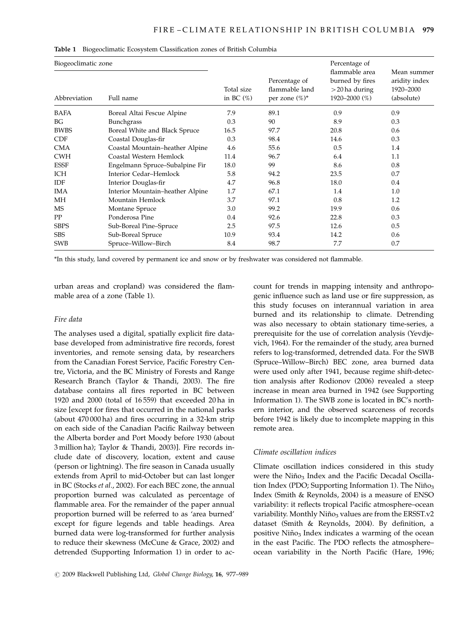| Biogeoclimatic zone |                                  | Percentage of              |                                                      |                                                                        |                                                         |  |  |
|---------------------|----------------------------------|----------------------------|------------------------------------------------------|------------------------------------------------------------------------|---------------------------------------------------------|--|--|
| Abbreviation        | Full name                        | Total size<br>in BC $(\%)$ | Percentage of<br>flammable land<br>per zone $(\%)^*$ | flammable area<br>burned by fires<br>$>$ 20 ha during<br>1920-2000 (%) | Mean summer<br>aridity index<br>1920-2000<br>(absolute) |  |  |
| BAFA                | Boreal Altai Fescue Alpine       | 7.9                        | 89.1                                                 | 0.9                                                                    | 0.9                                                     |  |  |
| BG                  | <b>Bunchgrass</b>                | 0.3                        | 90                                                   | 8.9                                                                    | 0.3                                                     |  |  |
| <b>BWBS</b>         | Boreal White and Black Spruce    | 16.5                       | 97.7                                                 | 20.8                                                                   | 0.6                                                     |  |  |
| <b>CDF</b>          | Coastal Douglas-fir              | 0.3                        | 98.4                                                 | 14.6                                                                   | 0.3                                                     |  |  |
| <b>CMA</b>          | Coastal Mountain-heather Alpine  | 4.6                        | 55.6                                                 | 0.5                                                                    | 1.4                                                     |  |  |
| <b>CWH</b>          | Coastal Western Hemlock          | 11.4                       | 96.7                                                 | 6.4                                                                    | 1.1                                                     |  |  |
| <b>ESSF</b>         | Engelmann Spruce–Subalpine Fir   | 18.0                       | 99                                                   | 8.6                                                                    | 0.8                                                     |  |  |
| ICH                 | Interior Cedar-Hemlock           | 5.8                        | 94.2                                                 | 23.5                                                                   | 0.7                                                     |  |  |
| IDF                 | Interior Douglas-fir             | 4.7                        | 96.8                                                 | 18.0                                                                   | 0.4                                                     |  |  |
| <b>IMA</b>          | Interior Mountain-heather Alpine | 1.7                        | 67.1                                                 | 1.4                                                                    | 1.0                                                     |  |  |
| МH                  | Mountain Hemlock                 | 3.7                        | 97.1                                                 | 0.8                                                                    | 1.2                                                     |  |  |
| <b>MS</b>           | Montane Spruce                   | 3.0                        | 99.2                                                 | 19.9                                                                   | 0.6                                                     |  |  |
| PP                  | Ponderosa Pine                   | 0.4                        | 92.6                                                 | 22.8                                                                   | 0.3                                                     |  |  |
| <b>SBPS</b>         | Sub-Boreal Pine-Spruce           | 2.5                        | 97.5                                                 | 12.6                                                                   | 0.5                                                     |  |  |
| <b>SBS</b>          | Sub-Boreal Spruce                | 10.9                       | 93.4                                                 | 14.2                                                                   | 0.6                                                     |  |  |
| <b>SWB</b>          | Spruce-Willow-Birch              | 8.4                        | 98.7                                                 | 7.7                                                                    | 0.7                                                     |  |  |

Table 1 Biogeoclimatic Ecosystem Classification zones of British Columbia

\*In this study, land covered by permanent ice and snow or by freshwater was considered not flammable.

[urban areas and cropland\) was considered the flam](http://www.for.gov.bc.ca/HRE/becweb/system/index.html)[mable area of a zone \(Table 1\).](http://www.for.gov.bc.ca/HRE/becweb/system/index.html)

# Fire data

The analyses used a digital, spatially explicit fire database developed from administrative fire records, forest inventories, and remote sensing data, by researchers from the Canadian Forest Service, Pacific Forestry Centre, Victoria, and the BC Ministry of Forests and Range Research Branch (Taylor & Thandi, 2003). The fire database contains all fires reported in BC between 1920 and 2000 (total of 16 559) that exceeded 20 ha in size [except for fires that occurred in the national parks (about 470 000 ha) and fires occurring in a 32-km strip on each side of the Canadian Pacific Railway between the Alberta border and Port Moody before 1930 (about 3 million ha); Taylor & Thandi, 2003)]. Fire records include date of discovery, location, extent and cause (person or lightning). The fire season in Canada usually extends from April to mid-October but can last longer in BC (Stocks et al., 2002). For each BEC zone, the annual proportion burned was calculated as percentage of flammable area. For the remainder of the paper annual proportion burned will be referred to as 'area burned' except for figure legends and table headings. Area burned data were log-transformed for further analysis to reduce their skewness (McCune & Grace, 2002) and detrended (Supporting Information 1) in order to ac-

count for trends in mapping intensity and anthropogenic influence such as land use or fire suppression, as this study focuses on interannual variation in area burned and its relationship to climate. Detrending was also necessary to obtain stationary time-series, a prerequisite for the use of correlation analysis (Yevdjevich, 1964). For the remainder of the study, area burned refers to log-transformed, detrended data. For the SWB (Spruce–Willow–Birch) BEC zone, area burned data were used only after 1941, because regime shift-detection analysis after Rodionov (2006) revealed a steep increase in mean area burned in 1942 (see Supporting Information 1). The SWB zone is located in BC's northern interior, and the observed scarceness of records before 1942 is likely due to incomplete mapping in this remote area.

# Climate oscillation indices

Climate oscillation indices considered in this study were the Niño<sub>3</sub> Index and the Pacific Decadal Oscillation Index (PDO; Supporting Information 1). The Niño<sub>3</sub> Index (Smith & Reynolds, 2004) is a measure of ENSO variability: it reflects tropical Pacific atmosphere–ocean variability. Monthly Niño<sub>3</sub> values are from the ERSST.v2 dataset (Smith & Reynolds, 2004). By definition, a positive Niño<sub>3</sub> Index indicates a warming of the ocean in the east Pacific. The PDO reflects the atmosphere– ocean variability in the North Pacific (Hare, 1996;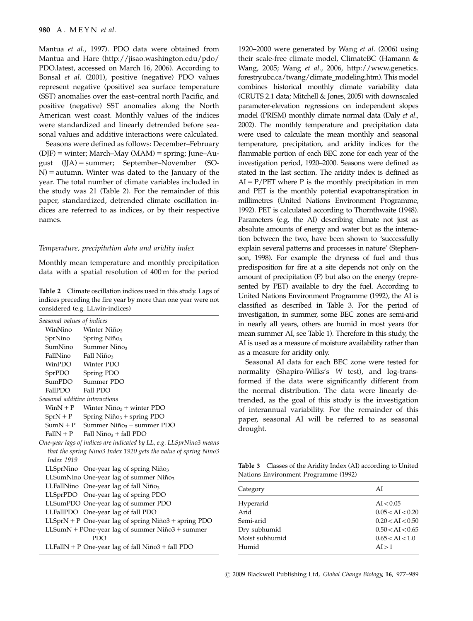Mantua et al., 1997). PDO data were obtained from Mantua and Hare (<http://jisao.washington.edu/pdo/> [PDO.latest, accessed on March 16, 2006\). According to](http://jisao.washington.edu/pdo/) Bonsal et al[. \(2001\), positive \(negative\) PDO values](http://jisao.washington.edu/pdo/) [represent negative \(positive\) sea surface temperature](http://jisao.washington.edu/pdo/) [\(SST\) anomalies over the east–central north Pacific, and](http://jisao.washington.edu/pdo/) [positive \(negative\) SST anomalies along the North](http://jisao.washington.edu/pdo/) [American west coast. Monthly values of the indices](http://jisao.washington.edu/pdo/) [were standardized and linearly detrended before sea](http://jisao.washington.edu/pdo/)[sonal values and additive interactions were calculated.](http://jisao.washington.edu/pdo/)

Seasons were defined as follows: December–February  $(D|F)$  = winter; March–May (MAM) = spring; June–August  $(JJA)$  = summer; September–November (SO- $N$ ) = autumn. Winter was dated to the January of the year. The total number of climate variables included in the study was 21 (Table 2). For the remainder of this paper, standardized, detrended climate oscillation indices are referred to as indices, or by their respective names.

# Temperature, precipitation data and aridity index

Monthly mean temperature and monthly precipitation data with a spatial resolution of 400 m for the period

Table 2 Climate oscillation indices used in this study. Lags of indices preceding the fire year by more than one year were not considered (e.g. LLwin-indices)

| Seasonal values of indices     |                                                                     |
|--------------------------------|---------------------------------------------------------------------|
|                                | WinNino Winter Niño <sub>3</sub>                                    |
| SprNino                        | Spring $Ni\tilde{n}o_3$                                             |
| SumNino                        | Summer Niño <sub>3</sub>                                            |
| FallNino                       | Fall Niño <sub>3</sub>                                              |
| WinPDO                         | Winter PDO                                                          |
| SprPDO                         | Spring PDO                                                          |
| SumPDO                         | Summer PDO                                                          |
| FallPDO                        | Fall PDO                                                            |
| Seasonal additive interactions |                                                                     |
|                                | $WinN + P$ Winter Niño <sub>3</sub> + winter PDO                    |
| $SprN + P$                     | Spring $Ni\tilde{p}_{3}$ + spring PDO                               |
| $SumN + P$                     | Summer Niño <sub>3</sub> + summer PDO                               |
| $FallN + P$                    | Fall Niño <sub>3</sub> + fall PDO                                   |
|                                | One-year lags of indices are indicated by LL, e.g. LLSprNino3 means |
|                                | that the spring Nino3 Index 1920 gets the value of spring Nino3     |
| <b>Index 1919</b>              |                                                                     |
|                                | LLSprNino One-year lag of spring $Ni\tilde{p}_{3}$                  |
|                                | LLSumNino One-year lag of summer Niño3                              |
|                                | LLFallNino One-year lag of fall $Ni\tilde{p}_{3}$                   |
|                                | LLSprPDO One-year lag of spring PDO                                 |
|                                | LLSumPDO One-year lag of summer PDO                                 |
|                                | LLFallPDO One-year lag of fall PDO                                  |
|                                | LLSprN + P One-year lag of spring Niño3 + spring PDO                |
|                                | LLSumN + POne-year lag of summer Niño3 + summer                     |
|                                | <b>PDO</b>                                                          |

LLFallN + P One-year lag of fall Niño $3 +$  fall PDO

1920–2000 were generated by Wang et al. (2006) using their scale-free climate model, ClimateBC (Hamann & Wang, 2005; Wang et al., 2006, [http://www.genetics.](http://www.genetics.forestry.ubc.ca/twang/climate_modeling.htm) [forestry.ubc.ca/twang/climate\\_modeling.htm\). This model](http://www.genetics.forestry.ubc.ca/twang/climate_modeling.htm) [combines historical monthly climate variability data](http://www.genetics.forestry.ubc.ca/twang/climate_modeling.htm) [\(CRUTS 2.1 data; Mitchell & Jones, 2005\) with downscaled](http://www.genetics.forestry.ubc.ca/twang/climate_modeling.htm) [parameter-elevation regressions on independent slopes](http://www.genetics.forestry.ubc.ca/twang/climate_modeling.htm) [model \(PRISM\) monthly climate normal data \(Daly](http://www.genetics.forestry.ubc.ca/twang/climate_modeling.htm) et al., [2002\). The monthly temperature and precipitation data](http://www.genetics.forestry.ubc.ca/twang/climate_modeling.htm) [were used to calculate the mean monthly and seasonal](http://www.genetics.forestry.ubc.ca/twang/climate_modeling.htm) [temperature, precipitation, and aridity indices for the](http://www.genetics.forestry.ubc.ca/twang/climate_modeling.htm) [flammable portion of each BEC zone for each year of the](http://www.genetics.forestry.ubc.ca/twang/climate_modeling.htm) [investigation period, 1920–2000. Seasons were defined as](http://www.genetics.forestry.ubc.ca/twang/climate_modeling.htm) [stated in the last section. The aridity index is defined as](http://www.genetics.forestry.ubc.ca/twang/climate_modeling.htm)  $AI = P/PET$  where P is the monthly precipitation in mm [and PET is the monthly potential evapotranspiration in](http://www.genetics.forestry.ubc.ca/twang/climate_modeling.htm) [millimetres \(United Nations Environment Programme,](http://www.genetics.forestry.ubc.ca/twang/climate_modeling.htm) [1992\). PET is calculated according to Thornthwaite \(1948\).](http://www.genetics.forestry.ubc.ca/twang/climate_modeling.htm) [Parameters \(e.g. the AI\) describing climate not just as](http://www.genetics.forestry.ubc.ca/twang/climate_modeling.htm) [absolute amounts of energy and water but as the interac](http://www.genetics.forestry.ubc.ca/twang/climate_modeling.htm)[tion between the two, have been shown to 'successfully](http://www.genetics.forestry.ubc.ca/twang/climate_modeling.htm) [explain several patterns and processes in nature' \(Stephen](http://www.genetics.forestry.ubc.ca/twang/climate_modeling.htm)[son, 1998\). For example the dryness of fuel and thus](http://www.genetics.forestry.ubc.ca/twang/climate_modeling.htm) [predisposition for fire at a site depends not only on the](http://www.genetics.forestry.ubc.ca/twang/climate_modeling.htm) [amount of precipitation \(P\) but also on the energy \(repre](http://www.genetics.forestry.ubc.ca/twang/climate_modeling.htm)[sented by PET\) available to dry the fuel. According to](http://www.genetics.forestry.ubc.ca/twang/climate_modeling.htm) [United Nations Environment Programme \(1992\), the AI is](http://www.genetics.forestry.ubc.ca/twang/climate_modeling.htm) [classified as described in Table 3. For the period of](http://www.genetics.forestry.ubc.ca/twang/climate_modeling.htm) [investigation, in summer, some BEC zones are semi-arid](http://www.genetics.forestry.ubc.ca/twang/climate_modeling.htm) [in nearly all years, others are humid in most years \(for](http://www.genetics.forestry.ubc.ca/twang/climate_modeling.htm) [mean summer AI, see Table 1\). Therefore in this study, the](http://www.genetics.forestry.ubc.ca/twang/climate_modeling.htm) [AI is used as a measure of moisture availability rather than](http://www.genetics.forestry.ubc.ca/twang/climate_modeling.htm) [as a measure for aridity only.](http://www.genetics.forestry.ubc.ca/twang/climate_modeling.htm)

Seasonal AI data for each BEC zone were tested for normality (Shapiro-Wilks's W test), and log-transformed if the data were significantly different from the normal distribution. The data were linearly detrended, as the goal of this study is the investigation of interannual variability. For the remainder of this paper, seasonal AI will be referred to as seasonal drought.

Table 3 Classes of the Aridity Index (AI) according to United Nations Environment Programme (1992)

| Category       | AI               |
|----------------|------------------|
| Hyperarid      | AI < 0.05        |
| Arid           | 0.05 < AI < 0.20 |
| Semi-arid      | 0.20 < AI < 0.50 |
| Dry subhumid   | 0.50 < AI < 0.65 |
| Moist subhumid | 0.65 < AI < 1.0  |
| Humid          | AI > 1           |
|                |                  |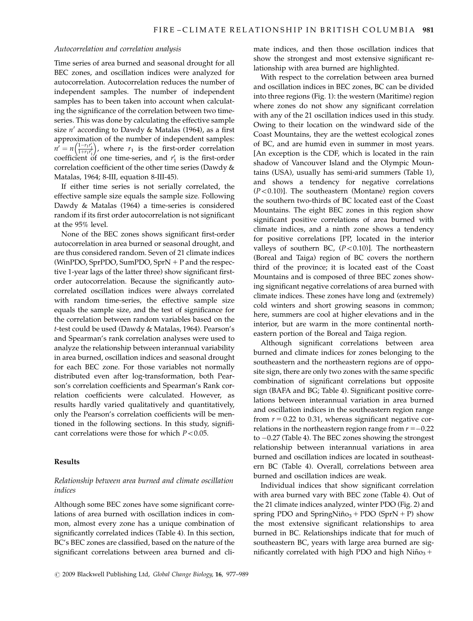#### Autocorrelation and correlation analysis

Time series of area burned and seasonal drought for all BEC zones, and oscillation indices were analyzed for autocorrelation. Autocorrelation reduces the number of independent samples. The number of independent samples has to been taken into account when calculating the significance of the correlation between two timeseries. This was done by calculating the effective sample size  $n'$  according to Dawdy & Matalas (1964), as a first approximation of the number of independent samples:  $n' = n \left( \frac{1 - r_1 r_1'}{1 + r_1 r_1'} \right)$ coefficient of one time-series, and  $r_1$  is the first-order  $\left(\frac{1-r_1r_1'}{1+r_1r_2'}\right)$ , where  $r_1$  is the first-order correlation correlation coefficient of the other time series (Dawdy & Matalas, 1964; 8-III, equation 8-III-45).

If either time series is not serially correlated, the effective sample size equals the sample size. Following Dawdy & Matalas (1964) a time-series is considered random if its first order autocorrelation is not significant at the 95% level.

None of the BEC zones shows significant first-order autocorrelation in area burned or seasonal drought, and are thus considered random. Seven of 21 climate indices (WinPDO, SprPDO, SumPDO, Spr $N + P$  and the respective 1-year lags of the latter three) show significant firstorder autocorrelation. Because the significantly autocorrelated oscillation indices were always correlated with random time-series, the effective sample size equals the sample size, and the test of significance for the correlation between random variables based on the t-test could be used (Dawdy & Matalas, 1964). Pearson's and Spearman's rank correlation analyses were used to analyze the relationship between interannual variability in area burned, oscillation indices and seasonal drought for each BEC zone. For those variables not normally distributed even after log-transformation, both Pearson's correlation coefficients and Spearman's Rank correlation coefficients were calculated. However, as results hardly varied qualitatively and quantitatively, only the Pearson's correlation coefficients will be mentioned in the following sections. In this study, significant correlations were those for which  $P < 0.05$ .

# Results

# Relationship between area burned and climate oscillation indices

Although some BEC zones have some significant correlations of area burned with oscillation indices in common, almost every zone has a unique combination of significantly correlated indices (Table 4). In this section, BC's BEC zones are classified, based on the nature of the significant correlations between area burned and climate indices, and then those oscillation indices that show the strongest and most extensive significant relationship with area burned are highlighted.

With respect to the correlation between area burned and oscillation indices in BEC zones, BC can be divided into three regions (Fig. 1): the western (Maritime) region where zones do not show any significant correlation with any of the 21 oscillation indices used in this study. Owing to their location on the windward side of the Coast Mountains, they are the wettest ecological zones of BC, and are humid even in summer in most years. [An exception is the CDF, which is located in the rain shadow of Vancouver Island and the Olympic Mountains (USA), usually has semi-arid summers (Table 1), and shows a tendency for negative correlations  $(P<0.10)$ ]. The southeastern (Montane) region covers the southern two-thirds of BC located east of the Coast Mountains. The eight BEC zones in this region show significant positive correlations of area burned with climate indices, and a ninth zone shows a tendency for positive correlations [PP, located in the interior valleys of southern BC,  $(P<0.10)$ ]. The northeastern (Boreal and Taiga) region of BC covers the northern third of the province; it is located east of the Coast Mountains and is composed of three BEC zones showing significant negative correlations of area burned with climate indices. These zones have long and (extremely) cold winters and short growing seasons in common; here, summers are cool at higher elevations and in the interior, but are warm in the more continental northeastern portion of the Boreal and Taiga region.

Although significant correlations between area burned and climate indices for zones belonging to the southeastern and the northeastern regions are of opposite sign, there are only two zones with the same specific combination of significant correlations but opposite sign (BAFA and BG; Table 4). Significant positive correlations between interannual variation in area burned and oscillation indices in the southeastern region range from  $r = 0.22$  to 0.31, whereas significant negative correlations in the northeastern region range from  $r = -0.22$ to -0.27 (Table 4). The BEC zones showing the strongest relationship between interannual variations in area burned and oscillation indices are located in southeastern BC (Table 4). Overall, correlations between area burned and oscillation indices are weak.

Individual indices that show significant correlation with area burned vary with BEC zone (Table 4). Out of the 21 climate indices analyzed, winter PDO (Fig. 2) and spring PDO and SpringNiño<sub>3</sub> + PDO (SprN + P) show the most extensive significant relationships to area burned in BC. Relationships indicate that for much of southeastern BC, years with large area burned are significantly correlated with high PDO and high Niño<sub>3</sub> +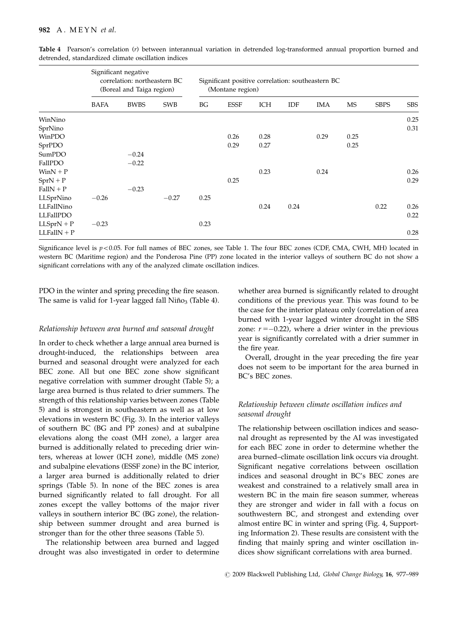|               | Significant negative<br>correlation: northeastern BC<br>(Boreal and Taiga region) |             | Significant positive correlation: southeastern BC<br>(Montane region) |      |             |      |      |      |           |             |            |
|---------------|-----------------------------------------------------------------------------------|-------------|-----------------------------------------------------------------------|------|-------------|------|------|------|-----------|-------------|------------|
|               | <b>BAFA</b>                                                                       | <b>BWBS</b> | <b>SWB</b>                                                            | BG   | <b>ESSF</b> | ICH  | IDF  | IMA  | <b>MS</b> | <b>SBPS</b> | <b>SBS</b> |
| WinNino       |                                                                                   |             |                                                                       |      |             |      |      |      |           |             | 0.25       |
| SprNino       |                                                                                   |             |                                                                       |      |             |      |      |      |           |             | 0.31       |
| WinPDO        |                                                                                   |             |                                                                       |      | 0.26        | 0.28 |      | 0.29 | 0.25      |             |            |
| SprPDO        |                                                                                   |             |                                                                       |      | 0.29        | 0.27 |      |      | 0.25      |             |            |
| SumPDO        |                                                                                   | $-0.24$     |                                                                       |      |             |      |      |      |           |             |            |
| FallPDO       |                                                                                   | $-0.22$     |                                                                       |      |             |      |      |      |           |             |            |
| $WinN + P$    |                                                                                   |             |                                                                       |      |             | 0.23 |      | 0.24 |           |             | 0.26       |
| $SprN + P$    |                                                                                   |             |                                                                       |      | 0.25        |      |      |      |           |             | 0.29       |
| $FallN + P$   |                                                                                   | $-0.23$     |                                                                       |      |             |      |      |      |           |             |            |
| LLSprNino     | $-0.26$                                                                           |             | $-0.27$                                                               | 0.25 |             |      |      |      |           |             |            |
| LLFallNino    |                                                                                   |             |                                                                       |      |             | 0.24 | 0.24 |      |           | 0.22        | 0.26       |
| LLFallPDO     |                                                                                   |             |                                                                       |      |             |      |      |      |           |             | 0.22       |
| $LLSprN + P$  | $-0.23$                                                                           |             |                                                                       | 0.23 |             |      |      |      |           |             |            |
| $LLFallN + P$ |                                                                                   |             |                                                                       |      |             |      |      |      |           |             | 0.28       |

Table 4 Pearson's correlation (r) between interannual variation in detrended log-transformed annual proportion burned and detrended, standardized climate oscillation indices

Significance level is  $p<0.05$ . For full names of BEC zones, see Table 1. The four BEC zones (CDF, CMA, CWH, MH) located in western BC (Maritime region) and the Ponderosa Pine (PP) zone located in the interior valleys of southern BC do not show a significant correlations with any of the analyzed climate oscillation indices.

PDO in the winter and spring preceding the fire season. The same is valid for 1-year lagged fall  $Ni\tilde{p}o<sub>3</sub>$  (Table 4).

# Relationship between area burned and seasonal drought

In order to check whether a large annual area burned is drought-induced, the relationships between area burned and seasonal drought were analyzed for each BEC zone. All but one BEC zone show significant negative correlation with summer drought (Table 5); a large area burned is thus related to drier summers. The strength of this relationship varies between zones (Table 5) and is strongest in southeastern as well as at low elevations in western BC (Fig. 3). In the interior valleys of southern BC (BG and PP zones) and at subalpine elevations along the coast (MH zone), a larger area burned is additionally related to preceding drier winters, whereas at lower (ICH zone), middle (MS zone) and subalpine elevations (ESSF zone) in the BC interior, a larger area burned is additionally related to drier springs (Table 5). In none of the BEC zones is area burned significantly related to fall drought. For all zones except the valley bottoms of the major river valleys in southern interior BC (BG zone), the relationship between summer drought and area burned is stronger than for the other three seasons (Table 5).

The relationship between area burned and lagged drought was also investigated in order to determine whether area burned is significantly related to drought conditions of the previous year. This was found to be the case for the interior plateau only (correlation of area burned with 1-year lagged winter drought in the SBS zone:  $r = -0.22$ ), where a drier winter in the previous year is significantly correlated with a drier summer in the fire year.

Overall, drought in the year preceding the fire year does not seem to be important for the area burned in BC's BEC zones.

# Relationship between climate oscillation indices and seasonal drought

The relationship between oscillation indices and seasonal drought as represented by the AI was investigated for each BEC zone in order to determine whether the area burned–climate oscillation link occurs via drought. Significant negative correlations between oscillation indices and seasonal drought in BC's BEC zones are weakest and constrained to a relatively small area in western BC in the main fire season summer, whereas they are stronger and wider in fall with a focus on southwestern BC, and strongest and extending over almost entire BC in winter and spring (Fig. 4, Supporting Information 2). These results are consistent with the finding that mainly spring and winter oscillation indices show significant correlations with area burned.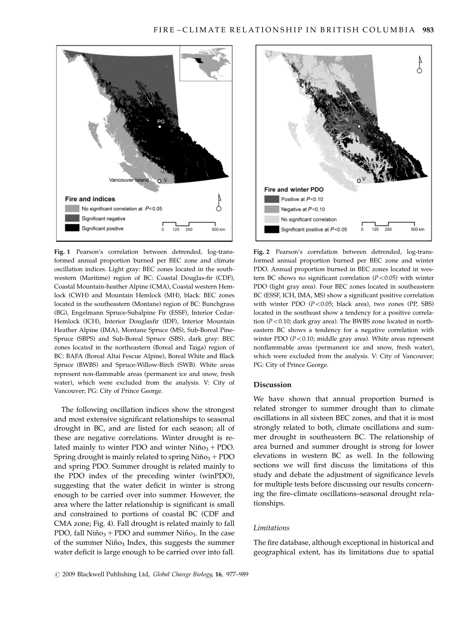

Fig. 1 Pearson's correlation between detrended, log-transformed annual proportion burned per BEC zone and climate oscillation indices. Light gray: BEC zones located in the southwestern (Maritime) region of BC: Coastal Douglas-fir (CDF), Coastal Mountain-heather Alpine (CMA), Coastal western Hemlock (CWH) and Mountain Hemlock (MH), black: BEC zones located in the southeastern (Montane) region of BC: Bunchgrass (BG), Engelmann Spruce-Subalpine Fir (ESSF), Interior Cedar-Hemlock (ICH), Interior Douglasfir (IDF), Interior Mountain Heather Alpine (IMA), Montane Spruce (MS), Sub-Boreal Pine-Spruce (SBPS) and Sub-Boreal Spruce (SBS), dark gray: BEC zones located in the northeastern (Boreal and Taiga) region of BC: BAFA (Boreal Altai Fescue Alpine), Boreal White and Black Spruce (BWBS) and Spruce-Willow-Birch (SWB). White areas represent non-flammable areas (permanent ice and snow, fresh water), which were excluded from the analysis. V: City of Vancouver; PG: City of Prince George.

The following oscillation indices show the strongest and most extensive significant relationships to seasonal drought in BC, and are listed for each season; all of these are negative correlations. Winter drought is related mainly to winter PDO and winter  $Ni\tilde{p}_{03}$  + PDO. Spring drought is mainly related to spring  $Ni\tilde{p}_{03}$  + PDO and spring PDO. Summer drought is related mainly to the PDO index of the preceding winter (winPDO), suggesting that the water deficit in winter is strong enough to be carried over into summer. However, the area where the latter relationship is significant is small and constrained to portions of coastal BC (CDF and CMA zone; Fig. 4). Fall drought is related mainly to fall PDO, fall  $Ni\tilde{p}_{03}$  + PDO and summer Ni $\tilde{p}_{03}$ . In the case of the summer Niño<sub>3</sub> Index, this suggests the summer water deficit is large enough to be carried over into fall.



Fig. 2 Pearson's correlation between detrended, log-transformed annual proportion burned per BEC zone and winter PDO. Annual proportion burned in BEC zones located in western BC shows no significant correlation  $(P<0.05)$  with winter PDO (light gray area). Four BEC zones located in southeastern BC (ESSF, ICH, IMA, MS) show a significant positive correlation with winter PDO  $(P<0.05$ ; black area), two zones (PP, SBS) located in the southeast show a tendency for a positive correlation ( $P < 0.10$ ; dark gray area). The BWBS zone located in northeastern BC shows a tendency for a negative correlation with winter PDO ( $P < 0.10$ ; middle gray area). White areas represent nonflammable areas (permanent ice and snow, fresh water), which were excluded from the analysis. V: City of Vancouver; PG: City of Prince George.

#### Discussion

We have shown that annual proportion burned is related stronger to summer drought than to climate oscillations in all sixteen BEC zones, and that it is most strongly related to both, climate oscillations and summer drought in southeastern BC. The relationship of area burned and summer drought is strong for lower elevations in western BC as well. In the following sections we will first discuss the limitations of this study and debate the adjustment of significance levels for multiple tests before discussing our results concerning the fire–climate oscillations–seasonal drought relationships.

# Limitations

The fire database, although exceptional in historical and geographical extent, has its limitations due to spatial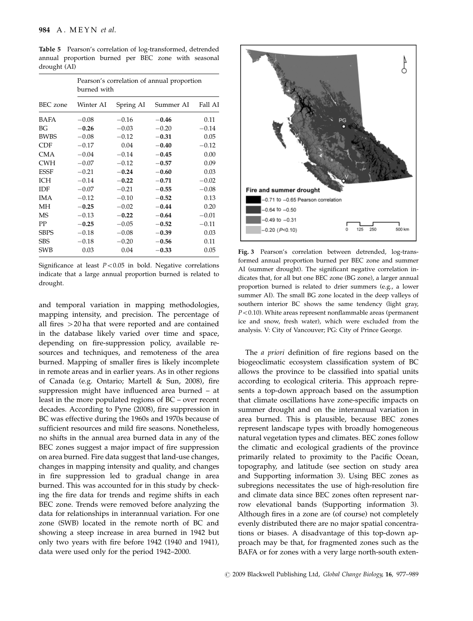|             | Pearson's correlation of annual proportion<br>burned with |           |           |         |  |  |  |  |
|-------------|-----------------------------------------------------------|-----------|-----------|---------|--|--|--|--|
| BEC zone    | Winter AI                                                 | Spring AI | Summer AI | Fall AI |  |  |  |  |
| BAFA        | $-0.08$                                                   | $-0.16$   | $-0.46$   | 0.11    |  |  |  |  |
| ΒG          | $-0.26$                                                   | $-0.03$   | $-0.20$   | $-0.14$ |  |  |  |  |
| <b>BWBS</b> | $-0.08$                                                   | $-0.12$   | $-0.31$   | 0.05    |  |  |  |  |
| <b>CDF</b>  | $-0.17$                                                   | 0.04      | $-0.40$   | $-0.12$ |  |  |  |  |
| CMA         | $-0.04$                                                   | $-0.14$   | $-0.45$   | 0.00    |  |  |  |  |
| <b>CWH</b>  | $-0.07$                                                   | $-0.12$   | $-0.57$   | 0.09    |  |  |  |  |
| ESSF        | $-0.21$                                                   | $-0.24$   | $-0.60$   | 0.03    |  |  |  |  |
| <b>ICH</b>  | $-0.14$                                                   | $-0.22$   | $-0.71$   | $-0.02$ |  |  |  |  |
| <b>IDF</b>  | $-0.07$                                                   | $-0.21$   | $-0.55$   | $-0.08$ |  |  |  |  |
| <b>IMA</b>  | $-0.12$                                                   | $-0.10$   | $-0.52$   | 0.13    |  |  |  |  |
| МH          | $-0.25$                                                   | $-0.02$   | $-0.44$   | 0.20    |  |  |  |  |
| <b>MS</b>   | $-0.13$                                                   | $-0.22$   | $-0.64$   | $-0.01$ |  |  |  |  |
| PP          | $-0.25$                                                   | $-0.05$   | $-0.52$   | $-0.11$ |  |  |  |  |
| <b>SBPS</b> | $-0.18$                                                   | $-0.08$   | $-0.39$   | 0.03    |  |  |  |  |
| <b>SBS</b>  | $-0.18$                                                   | $-0.20$   | $-0.56$   | 0.11    |  |  |  |  |
| <b>SWB</b>  | 0.03                                                      | 0.04      | $-0.33$   | 0.05    |  |  |  |  |

Table 5 Pearson's correlation of log-transformed, detrended annual proportion burned per BEC zone with seasonal drought (AI)

Significance at least  $P < 0.05$  in bold. Negative correlations indicate that a large annual proportion burned is related to drought.

and temporal variation in mapping methodologies, mapping intensity, and precision. The percentage of all fires  $>20$  ha that were reported and are contained in the database likely varied over time and space, depending on fire-suppression policy, available resources and techniques, and remoteness of the area burned. Mapping of smaller fires is likely incomplete in remote areas and in earlier years. As in other regions of Canada (e.g. Ontario; Martell & Sun, 2008), fire suppression might have influenced area burned – at least in the more populated regions of BC – over recent decades. According to Pyne (2008), fire suppression in BC was effective during the 1960s and 1970s because of sufficient resources and mild fire seasons. Nonetheless, no shifts in the annual area burned data in any of the BEC zones suggest a major impact of fire suppression on area burned. Fire data suggest that land-use changes, changes in mapping intensity and quality, and changes in fire suppression led to gradual change in area burned. This was accounted for in this study by checking the fire data for trends and regime shifts in each BEC zone. Trends were removed before analyzing the data for relationships in interannual variation. For one zone (SWB) located in the remote north of BC and showing a steep increase in area burned in 1942 but only two years with fire before 1942 (1940 and 1941), data were used only for the period 1942–2000.



Fig. 3 Pearson's correlation between detrended, log-transformed annual proportion burned per BEC zone and summer AI (summer drought). The significant negative correlation indicates that, for all but one BEC zone (BG zone), a larger annual proportion burned is related to drier summers (e.g., a lower summer AI). The small BG zone located in the deep valleys of southern interior BC shows the same tendency (light gray,  $P < 0.10$ ). White areas represent nonflammable areas (permanent ice and snow, fresh water), which were excluded from the analysis. V: City of Vancouver; PG: City of Prince George.

The *a priori* definition of fire regions based on the biogeoclimatic ecosystem classification system of BC allows the province to be classified into spatial units according to ecological criteria. This approach represents a top-down approach based on the assumption that climate oscillations have zone-specific impacts on summer drought and on the interannual variation in area burned. This is plausible, because BEC zones represent landscape types with broadly homogeneous natural vegetation types and climates. BEC zones follow the climatic and ecological gradients of the province primarily related to proximity to the Pacific Ocean, topography, and latitude (see section on study area and Supporting information 3). Using BEC zones as subregions necessitates the use of high-resolution fire and climate data since BEC zones often represent narrow elevational bands (Supporting information 3). Although fires in a zone are (of course) not completely evenly distributed there are no major spatial concentrations or biases. A disadvantage of this top-down approach may be that, for fragmented zones such as the BAFA or for zones with a very large north-south exten-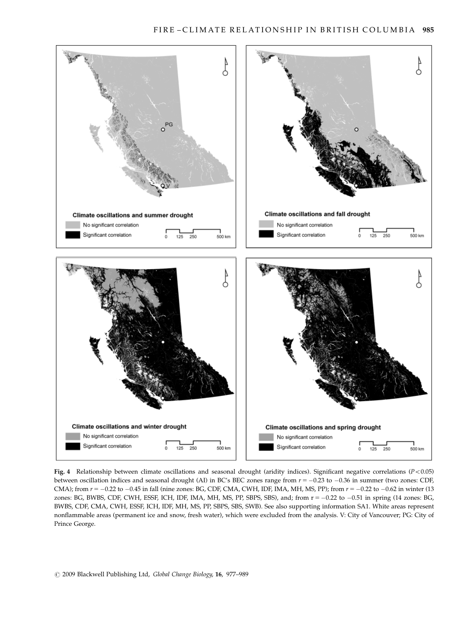

Fig. 4 Relationship between climate oscillations and seasonal drought (aridity indices). Significant negative correlations ( $P < 0.05$ ) between oscillation indices and seasonal drought (AI) in BC's BEC zones range from  $r = -0.23$  to  $-0.36$  in summer (two zones: CDF, CMA); from  $r = -0.22$  to  $-0.45$  in fall (nine zones: BG, CDF, CMA, CWH, IDF, IMA, MH, MS, PP); from  $r = -0.22$  to  $-0.62$  in winter (13) zones: BG, BWBS, CDF, CWH, ESSF, ICH, IDF, IMA, MH, MS, PP, SBPS, SBS), and; from r = -0.22 to -0.51 in spring (14 zones: BG, BWBS, CDF, CMA, CWH, ESSF, ICH, IDF, MH, MS, PP, SBPS, SBS, SWB). See also supporting information SA1. White areas represent nonflammable areas (permanent ice and snow, fresh water), which were excluded from the analysis. V: City of Vancouver; PG: City of Prince George.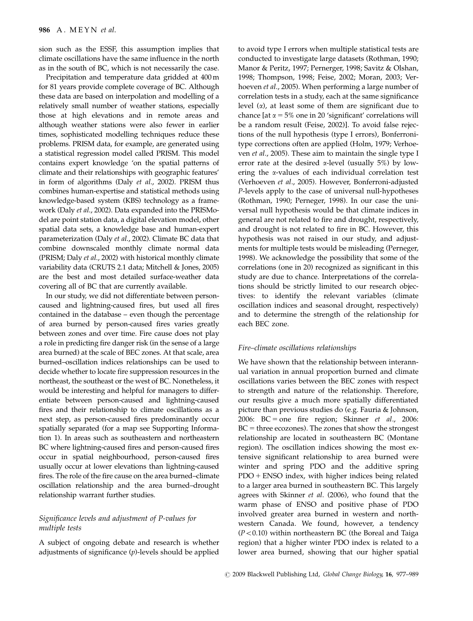sion such as the ESSF, this assumption implies that climate oscillations have the same influence in the north as in the south of BC, which is not necessarily the case.

Precipitation and temperature data gridded at 400 m for 81 years provide complete coverage of BC. Although these data are based on interpolation and modelling of a relatively small number of weather stations, especially those at high elevations and in remote areas and although weather stations were also fewer in earlier times, sophisticated modelling techniques reduce these problems. PRISM data, for example, are generated using a statistical regression model called PRISM. This model contains expert knowledge 'on the spatial patterns of climate and their relationships with geographic features' in form of algorithms (Daly et al., 2002). PRISM thus combines human-expertise and statistical methods using knowledge-based system (KBS) technology as a framework (Daly et al., 2002). Data expanded into the PRISModel are point station data, a digital elevation model, other spatial data sets, a knowledge base and human-expert parameterization (Daly et al., 2002). Climate BC data that combine downscaled monthly climate normal data (PRISM; Daly et al., 2002) with historical monthly climate variability data (CRUTS 2.1 data; Mitchell & Jones, 2005) are the best and most detailed surface-weather data covering all of BC that are currently available.

In our study, we did not differentiate between personcaused and lightning-caused fires, but used all fires contained in the database – even though the percentage of area burned by person-caused fires varies greatly between zones and over time. Fire cause does not play a role in predicting fire danger risk (in the sense of a large area burned) at the scale of BEC zones. At that scale, area burned–oscillation indices relationships can be used to decide whether to locate fire suppression resources in the northeast, the southeast or the west of BC. Nonetheless, it would be interesting and helpful for managers to differentiate between person-caused and lightning-caused fires and their relationship to climate oscillations as a next step, as person-caused fires predominantly occur spatially separated (for a map see Supporting Information 1). In areas such as southeastern and northeastern BC where lightning-caused fires and person-caused fires occur in spatial neighbourhood, person-caused fires usually occur at lower elevations than lightning-caused fires. The role of the fire cause on the area burned–climate oscillation relationship and the area burned–drought relationship warrant further studies.

# Significance levels and adjustment of P-values for multiple tests

A subject of ongoing debate and research is whether adjustments of significance  $(p)$ -levels should be applied to avoid type I errors when multiple statistical tests are conducted to investigate large datasets (Rothman, 1990; Manor & Peritz, 1997; Pernerger, 1998; Savitz & Olshan, 1998; Thompson, 1998; Feise, 2002; Moran, 2003; Verhoeven et al., 2005). When performing a large number of correlation tests in a study, each at the same significance level  $(\alpha)$ , at least some of them are significant due to chance [at  $\alpha = 5\%$  one in 20 'significant' correlations will be a random result (Feise, 2002)]. To avoid false rejections of the null hypothesis (type I errors), Bonferronitype corrections often are applied (Holm, 1979; Verhoeven et al., 2005). These aim to maintain the single type I error rate at the desired  $\alpha$ -level (usually 5%) by lowering the a-values of each individual correlation test (Verhoeven et al., 2005). However, Bonferroni-adjusted P-levels apply to the case of universal null-hypotheses (Rothman, 1990; Perneger, 1998). In our case the universal null hypothesis would be that climate indices in general are not related to fire and drought, respectively, and drought is not related to fire in BC. However, this hypothesis was not raised in our study, and adjustments for multiple tests would be misleading (Perneger, 1998). We acknowledge the possibility that some of the correlations (one in 20) recognized as significant in this study are due to chance. Interpretations of the correlations should be strictly limited to our research objectives: to identify the relevant variables (climate oscillation indices and seasonal drought, respectively) and to determine the strength of the relationship for each BEC zone.

# Fire–climate oscillations relationships

We have shown that the relationship between interannual variation in annual proportion burned and climate oscillations varies between the BEC zones with respect to strength and nature of the relationship. Therefore, our results give a much more spatially differentiated picture than previous studies do (e.g. Fauria & Johnson, 2006: BC = one fire region; Skinner  $et \ al., \ 2006$ :  $BC =$  three ecozones). The zones that show the strongest relationship are located in southeastern BC (Montane region). The oscillation indices showing the most extensive significant relationship to area burned were winter and spring PDO and the additive spring  $PDO + ENSO$  index, with higher indices being related to a larger area burned in southeastern BC. This largely agrees with Skinner et al. (2006), who found that the warm phase of ENSO and positive phase of PDO involved greater area burned in western and northwestern Canada. We found, however, a tendency  $(P<0.10)$  within northeastern BC (the Boreal and Taiga region) that a higher winter PDO index is related to a lower area burned, showing that our higher spatial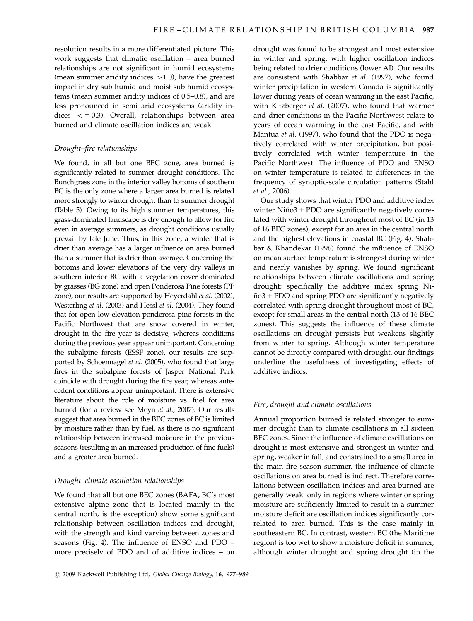resolution results in a more differentiated picture. This work suggests that climatic oscillation – area burned relationships are not significant in humid ecosystems (mean summer aridity indices  $>1.0$ ), have the greatest impact in dry sub humid and moist sub humid ecosystems (mean summer aridity indices of 0.5–0.8), and are less pronounced in semi arid ecosystems (aridity indices  $\langle$  = 0.3). Overall, relationships between area burned and climate oscillation indices are weak.

# Drought–fire relationships

We found, in all but one BEC zone, area burned is significantly related to summer drought conditions. The Bunchgrass zone in the interior valley bottoms of southern BC is the only zone where a larger area burned is related more strongly to winter drought than to summer drought (Table 5). Owing to its high summer temperatures, this grass-dominated landscape is dry enough to allow for fire even in average summers, as drought conditions usually prevail by late June. Thus, in this zone, a winter that is drier than average has a larger influence on area burned than a summer that is drier than average. Concerning the bottoms and lower elevations of the very dry valleys in southern interior BC with a vegetation cover dominated by grasses (BG zone) and open Ponderosa Pine forests (PP zone), our results are supported by Heyerdahl et al. (2002), Westerling et al. (2003) and Hessl et al. (2004). They found that for open low-elevation ponderosa pine forests in the Pacific Northwest that are snow covered in winter, drought in the fire year is decisive, whereas conditions during the previous year appear unimportant. Concerning the subalpine forests (ESSF zone), our results are supported by Schoennagel et al. (2005), who found that large fires in the subalpine forests of Jasper National Park coincide with drought during the fire year, whereas antecedent conditions appear unimportant. There is extensive literature about the role of moisture vs. fuel for area burned (for a review see Meyn et al., 2007). Our results suggest that area burned in the BEC zones of BC is limited by moisture rather than by fuel, as there is no significant relationship between increased moisture in the previous seasons (resulting in an increased production of fine fuels) and a greater area burned.

#### Drought–climate oscillation relationships

We found that all but one BEC zones (BAFA, BC's most extensive alpine zone that is located mainly in the central north, is the exception) show some significant relationship between oscillation indices and drought, with the strength and kind varying between zones and seasons (Fig. 4). The influence of ENSO and PDO – more precisely of PDO and of additive indices – on

 $C$  2009 Blackwell Publishing Ltd, Global Change Biology, 16, 977–989

drought was found to be strongest and most extensive in winter and spring, with higher oscillation indices being related to drier conditions (lower AI). Our results are consistent with Shabbar et al. (1997), who found winter precipitation in western Canada is significantly lower during years of ocean warming in the east Pacific, with Kitzberger et al. (2007), who found that warmer and drier conditions in the Pacific Northwest relate to years of ocean warming in the east Pacific, and with Mantua et al. (1997), who found that the PDO is negatively correlated with winter precipitation, but positively correlated with winter temperature in the Pacific Northwest. The influence of PDO and ENSO on winter temperature is related to differences in the frequency of synoptic-scale circulation patterns (Stahl et al., 2006).

Our study shows that winter PDO and additive index winter  $Ni\tilde{p}o3 + PDO$  are significantly negatively correlated with winter drought throughout most of BC (in 13 of 16 BEC zones), except for an area in the central north and the highest elevations in coastal BC (Fig. 4). Shabbar & Khandekar (1996) found the influence of ENSO on mean surface temperature is strongest during winter and nearly vanishes by spring. We found significant relationships between climate oscillations and spring drought; specifically the additive index spring Ni- $\tilde{\text{no}}3$  + PDO and spring PDO are significantly negatively correlated with spring drought throughout most of BC, except for small areas in the central north (13 of 16 BEC zones). This suggests the influence of these climate oscillations on drought persists but weakens slightly from winter to spring. Although winter temperature cannot be directly compared with drought, our findings underline the usefulness of investigating effects of additive indices.

# Fire, drought and climate oscillations

Annual proportion burned is related stronger to summer drought than to climate oscillations in all sixteen BEC zones. Since the influence of climate oscillations on drought is most extensive and strongest in winter and spring, weaker in fall, and constrained to a small area in the main fire season summer, the influence of climate oscillations on area burned is indirect. Therefore correlations between oscillation indices and area burned are generally weak: only in regions where winter or spring moisture are sufficiently limited to result in a summer moisture deficit are oscillation indices significantly correlated to area burned. This is the case mainly in southeastern BC. In contrast, western BC (the Maritime region) is too wet to show a moisture deficit in summer, although winter drought and spring drought (in the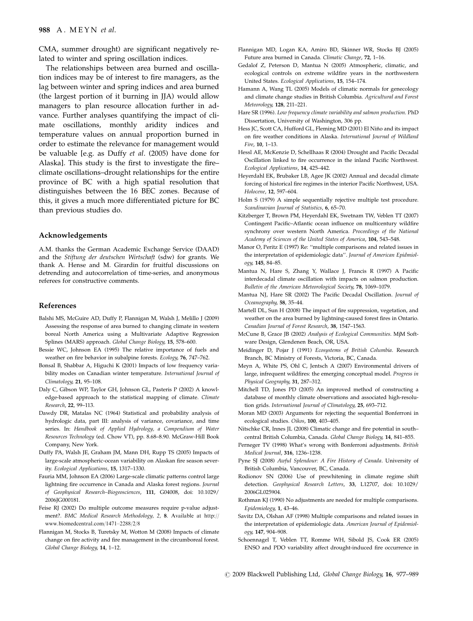CMA, summer drought) are significant negatively related to winter and spring oscillation indices.

The relationships between area burned and oscillation indices may be of interest to fire managers, as the lag between winter and spring indices and area burned (the largest portion of it burning in JJA) would allow managers to plan resource allocation further in advance. Further analyses quantifying the impact of climate oscillations, monthly aridity indices and temperature values on annual proportion burned in order to estimate the relevance for management would be valuable [e.g. as Duffy et al. (2005) have done for Alaska]. This study is the first to investigate the fire– climate oscillations–drought relationships for the entire province of BC with a high spatial resolution that distinguishes between the 16 BEC zones. Because of this, it gives a much more differentiated picture for BC than previous studies do.

#### Acknowledgements

A.M. thanks the German Academic Exchange Service (DAAD) and the Stiftung der deutschen Wirtschaft (sdw) for grants. We thank A. Hense and M. Girardin for fruitful discussions on detrending and autocorrelation of time-series, and anonymous referees for constructive comments.

### References

- Balshi MS, McGuire AD, Duffy P, Flannigan M, Walsh J, Melillo J (2009) Assessing the response of area burned to changing climate in western boreal North America using a Multivariate Adaptive Regression Splines (MARS) approach. Global Change Biology, 15, 578–600.
- Bessie WC, Johnson EA (1995) The relative importance of fuels and weather on fire behavior in subalpine forests. Ecology, 76, 747–762.
- Bonsal B, Shabbar A, Higuchi K (2001) Impacts of low frequency variability modes on Canadian winter temperature. International Journal of Climatology, 21, 95–108.
- Daly C, Gibson WP, Taylor GH, Johnson GL, Pasteris P (2002) A knowledge-based approach to the statistical mapping of climate. Climate Research, 22, 99–113.
- Dawdy DR, Matalas NC (1964) Statistical and probability analysis of hydrologic data, part III: analysis of variance, covariance, and time series. In: Handbook of Applied Hydrology, a Compendium of Water Resources Technology (ed. Chow VT), pp. 8.68–8.90. McGraw-Hill Book Company, New York.
- Duffy PA, Walsh JE, Graham JM, Mann DH, Rupp TS (2005) Impacts of large-scale atmospheric-ocean variability on Alaskan fire season severity. Ecological Applications, 15, 1317–1330.
- Fauria MM, Johnson EA (2006) Large-scale climatic patterns control large lightning fire occurrence in Canada and Alaska forest regions. Journal of Geophysical Research–Biogeosciences, 111, [G04008, doi: 10.1029/](G04008, doi: 10.1029/2006JG000181) [2006JG000181.](G04008, doi: 10.1029/2006JG000181)
- Feise RJ (2002) Do multiple outcome measures require p-value adjustment?. BMC Medical Research Methodology, 2, 8. Available at [http://](http://www.biomedcentral.com/1471–2288/2/8) [www.biomedcentral.com/1471–2288/2/8](http://www.biomedcentral.com/1471–2288/2/8)
- Flannigan M, Stocks B, Turetsky M, Wotton M (2008) Impacts of climate change on fire activity and fire management in the circumboreal forest. Global Change Biology, 14, 1–12.
- Flannigan MD, Logan KA, Amiro BD, Skinner WR, Stocks BJ (2005) Future area burned in Canada. Climatic Change, 72, 1–16.
- Gedalof Z, Peterson D, Mantua N (2005) Atmospheric, climatic, and ecological controls on extreme wildfire years in the northwestern United States. Ecological Applications, 15, 154–174.
- Hamann A, Wang TL (2005) Models of climatic normals for genecology and climate change studies in British Columbia. Agricultural and Forest Meteorology, 128, 211–221.
- Hare SR (1996). Low frequency climate variability and salmon production. PhD Dissertation, University of Washington, 306 pp.
- Hess IC, Scott CA, Hufford GL, Fleming MD (2001) El Niño and its impact on fire weather conditions in Alaska. International Journal of Wildland Fire, 10, 1–13.
- Hessl AE, McKenzie D, Schellhaas R (2004) Drought and Pacific Decadal Oscillation linked to fire occurrence in the inland Pacific Northwest. Ecological Applications, 14, 425–442.
- Heyerdahl EK, Brubaker LB, Agee JK (2002) Annual and decadal climate forcing of historical fire regimes in the interior Pacific Northwest, USA. Holocene, 12, 597–604.
- Holm S (1979) A simple sequentially rejective multiple test procedure. Scandinavian Journal of Statistics, 6, 65–70.
- Kitzberger T, Brown PM, Heyerdahl EK, Swetnam TW, Veblen TT (2007) Contingent Pacific–Atlantic ocean influence on multicentury wildfire synchrony over western North America. Proceedings of the National Academy of Sciences of the United States of America, 104, 543–548.
- Manor O, Peritz E (1997) Re: ''multiple comparisons and related issues in the interpretation of epidemiologic data''. Journal of American Epidmiology, 145, 84–85.
- Mantua N, Hare S, Zhang Y, Wallace J, Francis R (1997) A Pacific interdecadal climate oscillation with impacts on salmon production. Bulletin of the American Meteorological Society, 78, 1069–1079.
- Mantua NJ, Hare SR (2002) The Pacific Decadal Oscillation. Journal of Oceanography, 58, 35–44.
- Martell DL, Sun H (2008) The impact of fire suppression, vegetation, and weather on the area burned by lightning-caused forest fires in Ontario. Canadian Journal of Forest Research, 38, 1547–1563.
- McCune B, Grace JB (2002) Analysis of Ecological Communities. MjM Software Design, Glendenen Beach, OR, USA.
- Meidinger D, Pojar J (1991) Ecosystems of British Columbia. Research Branch, BC Ministry of Forests, Victoria, BC, Canada.
- Meyn A, White PS, Ohl C, Jentsch A (2007) Environmental drivers of large, infrequent wildfires: the emerging conceptual model. Progress in Physical Geography, 31, 287–312.
- Mitchell TD, Jones PD (2005) An improved method of constructing a database of monthly climate observations and associated high-resolution grids. International Journal of Climatology, 25, 693–712.
- Moran MD (2003) Arguments for rejecting the sequential Bonferroni in ecological studies. Oikos, 100, 403–405.
- Nitschke CR, Innes JL (2008) Climatic change and fire potential in south– central British Columbia, Canada. Global Change Biology, 14, 841–855.
- Perneger TV (1998) What's wrong with Bonferroni adjustments. British Medical Journal, 316, 1236–1238.
- Pyne SJ (2008) Awful Splendour: A Fire History of Canada. University of British Columbia, Vancouver, BC, Canada.
- Rodionov SN (2006) Use of prewhitening in climate regime shift detection. Geophysical Research Letters, 33, L12707, doi: [10.1029/](10.1029/2006GL025904) [2006GL025904.](10.1029/2006GL025904)
- Rothman KJ (1990) No adjustments are needed for multiple comparisons. Epidemiology, 1, 43–46.
- Savitz DA, Olshan AF (1998) Multiple comparisons and related issues in the interpretation of epidemiologic data. American Journal of Epidemiology, 147, 904–908.
- Schoennagel T, Veblen TT, Romme WH, Sibold JS, Cook ER (2005) ENSO and PDO variability affect drought-induced fire occurrence in